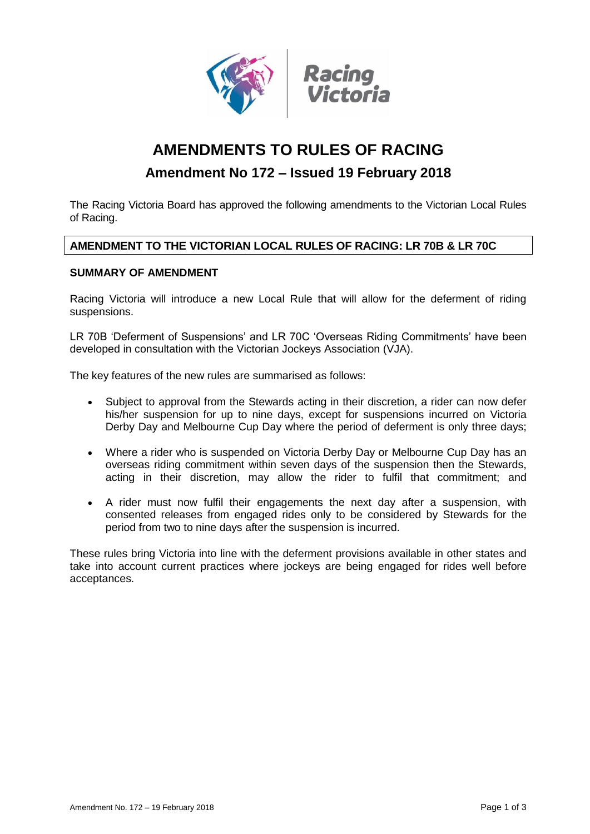

# **AMENDMENTS TO RULES OF RACING**

# **Amendment No 172 – Issued 19 February 2018**

The Racing Victoria Board has approved the following amendments to the Victorian Local Rules of Racing.

# **AMENDMENT TO THE VICTORIAN LOCAL RULES OF RACING: LR 70B & LR 70C**

# **SUMMARY OF AMENDMENT**

Racing Victoria will introduce a new Local Rule that will allow for the deferment of riding suspensions.

LR 70B 'Deferment of Suspensions' and LR 70C 'Overseas Riding Commitments' have been developed in consultation with the Victorian Jockeys Association (VJA).

The key features of the new rules are summarised as follows:

- Subject to approval from the Stewards acting in their discretion, a rider can now defer his/her suspension for up to nine days, except for suspensions incurred on Victoria Derby Day and Melbourne Cup Day where the period of deferment is only three days;
- Where a rider who is suspended on Victoria Derby Day or Melbourne Cup Day has an overseas riding commitment within seven days of the suspension then the Stewards, acting in their discretion, may allow the rider to fulfil that commitment; and
- A rider must now fulfil their engagements the next day after a suspension, with consented releases from engaged rides only to be considered by Stewards for the period from two to nine days after the suspension is incurred.

These rules bring Victoria into line with the deferment provisions available in other states and take into account current practices where jockeys are being engaged for rides well before acceptances.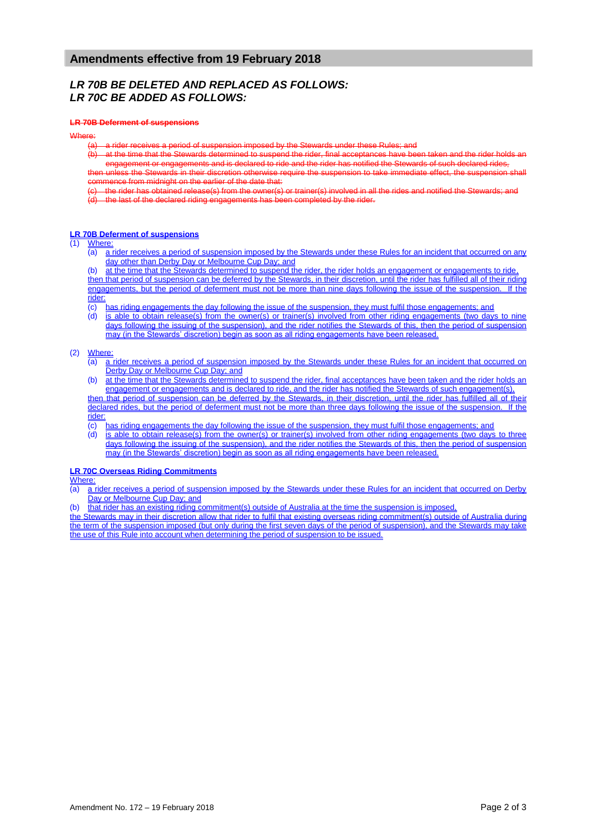# *LR 70B BE DELETED AND REPLACED AS FOLLOWS: LR 70C BE ADDED AS FOLLOWS:*

### **LR 70B Deferment of suspensions**

#### Where:

a rider receives a period of suspension imposed by the Stewards under these Rules; and

(b) at the time that the Stewards determined to suspend the rider, final acceptances have been taken and the rider holds engagement or engagements and is declared to ride and the rider has notified the Stewards of such declared rides, then unless the Stewards in their discretion otherwise require the suspension to take immediate effect, the suspension shall

commence from midnight on the earlier of the date that: the rider has obtained release(s) from the owner(s) or trainer(s) involved in all the rides and notified the Stewards; and

the last of the declared riding engagements has been completed by the rider.

## **LR 70B Deferment of suspensions**

# (1)  $\frac{\text{Where:}}{\text{(a) a}}$

a rider receives a period of suspension imposed by the Stewards under these Rules for an incident that occurred on any day other than Derby Day or Melbourne Cup Day; and

(b) at the time that the Stewards determined to suspend the rider, the rider holds an engagement or engagements to ride. then that period of suspension can be deferred by the Stewards, in their discretion, until the rider has fulfilled all of their riding engagements, but the period of deferment must not be more than nine days following the issue of the suspension. If the

## rider

(c) has riding engagements the day following the issue of the suspension, they must fulfil those engagements; and

(d) is able to obtain release(s) from the owner(s) or trainer(s) involved from other riding engagements (two days to nine days following the issuing of the suspension), and the rider notifies the Stewards of this, then the period of suspension may (in the Stewards' discretion) begin as soon as all riding engagements have been released.

### (2) Where:

- (a) a rider receives a period of suspension imposed by the Stewards under these Rules for an incident that occurred on Derby Day or Melbourne Cup Day; and
- (b) at the time that the Stewards determined to suspend the rider, final acceptances have been taken and the rider holds an engagement or engagements and is declared to ride, and the rider has notified the Stewards of such engagement(s),

then that period of suspension can be deferred by the Stewards, in their discretion, until the rider has fulfilled all of their declared rides, but the period of deferment must not be more than three days following the issue of the suspension. If the rider:

(c) has riding engagements the day following the issue of the suspension, they must fulfil those engagements; and

(d) is able to obtain release(s) from the owner(s) or trainer(s) involved from other riding engagements (two days to three days following the issuing of the suspension), and the rider notifies the Stewards of this, then the period of suspension may (in the Stewards' discretion) begin as soon as all riding engagements have been released.

## **LR 70C Overseas Riding Commitments**

### Where:

(a) a rider receives a period of suspension imposed by the Stewards under these Rules for an incident that occurred on Derby Day or Melbourne Cup Day; and

(b) that rider has an existing riding commitment(s) outside of Australia at the time the suspension is imposed,

the Stewards may in their discretion allow that rider to fulfil that existing overseas riding commitment(s) outside of Australia during the term of the suspension imposed (but only during the first seven days of the period of suspension), and the Stewards may take the use of this Rule into account when determining the period of suspension to be issued.